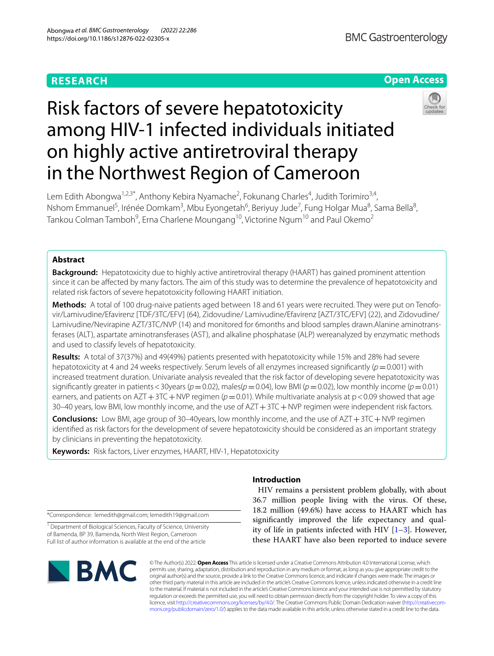# **RESEARCH**

# **Open Access**



# Risk factors of severe hepatotoxicity among HIV-1 infected individuals initiated on highly active antiretroviral therapy in the Northwest Region of Cameroon

Lem Edith Abongwa<sup>1,2,3\*</sup>, Anthony Kebira Nyamache<sup>2</sup>, Fokunang Charles<sup>4</sup>, Judith Torimiro<sup>3,4</sup>, Nshom Emmanuel<sup>5</sup>, Irénée Domkam<sup>3</sup>, Mbu Eyongetah<sup>6</sup>, Beriyuy Jude<sup>7</sup>, Fung Holgar Mua<sup>8</sup>, Sama Bella<sup>8</sup>, Tankou Colman Tamboh $^9$ , Erna Charlene Moungang $^{10}$ , Victorine Ngum $^{10}$  and Paul Okemo $^2$ 

# **Abstract**

**Background:** Hepatotoxicity due to highly active antiretroviral therapy (HAART) has gained prominent attention since it can be afected by many factors. The aim of this study was to determine the prevalence of hepatotoxicity and related risk factors of severe hepatotoxicity following HAART initiation.

**Methods:** A total of 100 drug-naive patients aged between 18 and 61 years were recruited. They were put on Tenofovir/Lamivudine/Efavirenz [TDF/3TC/EFV] (64), Zidovudine/ Lamivudine/Efavirenz [AZT/3TC/EFV] (22), and Zidovudine/ Lamivudine/Nevirapine AZT/3TC/NVP (14) and monitored for 6months and blood samples drawn.Alanine aminotransferases (ALT), aspartate aminotransferases (AST), and alkaline phosphatase (ALP) wereanalyzed by enzymatic methods and used to classify levels of hepatotoxicity.

**Results:** A total of 37(37%) and 49(49%) patients presented with hepatotoxicity while 15% and 28% had severe hepatotoxicity at 4 and 24 weeks respectively. Serum levels of all enzymes increased signifcantly (*p*=0.001) with increased treatment duration. Univariate analysis revealed that the risk factor of developing severe hepatotoxicity was significantly greater in patients < 30years ( $p = 0.02$ ), males( $p = 0.04$ ), low BMI ( $p = 0.02$ ), low monthly income ( $p = 0.01$ ) earners, and patients on AZT + 3TC + NVP regimen ( $p=0.01$ ). While multivariate analysis at  $p < 0.09$  showed that age 30–40 years, low BMI, low monthly income, and the use of AZT + 3TC + NVP regimen were independent risk factors.

**Conclusions:** Low BMI, age group of 30–40years, low monthly income, and the use of AZT+3TC+NVP regimen identifed as risk factors for the development of severe hepatotoxicity should be considered as an important strategy by clinicians in preventing the hepatotoxicity.

**Keywords:** Risk factors, Liver enzymes, HAART, HIV-1, Hepatotoxicity

**Introduction**

 HIV remains a persistent problem globally, with about 36.7 million people living with the virus. Of these, 18.2 million (49.6%) have access to HAART which has signifcantly improved the life expectancy and quality of life in patients infected with HIV [[1](#page-6-0)[–3](#page-6-1)]. However, these HAART have also been reported to induce severe

\*Correspondence: lemedith@gmail.com; lemedith19@gmail.com

<sup>1</sup> Department of Biological Sciences, Faculty of Science, University of Bamenda, BP 39, Bamenda, North West Region, Cameroon Full list of author information is available at the end of the article



© The Author(s) 2022. **Open Access** This article is licensed under a Creative Commons Attribution 4.0 International License, which permits use, sharing, adaptation, distribution and reproduction in any medium or format, as long as you give appropriate credit to the original author(s) and the source, provide a link to the Creative Commons licence, and indicate if changes were made. The images or other third party material in this article are included in the article's Creative Commons licence, unless indicated otherwise in a credit line to the material. If material is not included in the article's Creative Commons licence and your intended use is not permitted by statutory regulation or exceeds the permitted use, you will need to obtain permission directly from the copyright holder. To view a copy of this licence, visit [http://creativecommons.org/licenses/by/4.0/.](http://creativecommons.org/licenses/by/4.0/) The Creative Commons Public Domain Dedication waiver ([http://creativecom](http://creativecommons.org/publicdomain/zero/1.0/)[mons.org/publicdomain/zero/1.0/\)](http://creativecommons.org/publicdomain/zero/1.0/) applies to the data made available in this article, unless otherwise stated in a credit line to the data.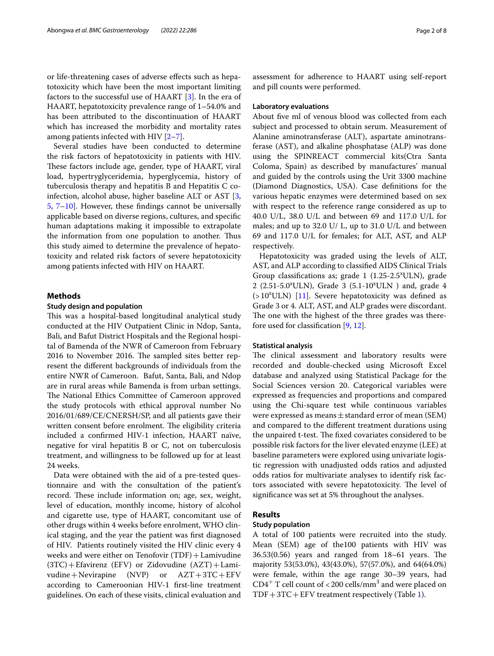or life-threatening cases of adverse efects such as hepatotoxicity which have been the most important limiting factors to the successful use of HAART [\[3](#page-6-1)]. In the era of HAART, hepatotoxicity prevalence range of 1–54.0% and has been attributed to the discontinuation of HAART which has increased the morbidity and mortality rates among patients infected with HIV [\[2](#page-6-2)[–7\]](#page-7-0).

Several studies have been conducted to determine the risk factors of hepatotoxicity in patients with HIV. These factors include age, gender, type of HAART, viral load, hypertryglyceridemia, hyperglycemia, history of tuberculosis therapy and hepatitis B and Hepatitis C coinfection, alcohol abuse, higher baseline ALT or AST [\[3](#page-6-1), [5,](#page-7-1) [7](#page-7-0)[–10](#page-7-2)]. However, these fndings cannot be universally applicable based on diverse regions, cultures, and specifc human adaptations making it impossible to extrapolate the information from one population to another. Thus this study aimed to determine the prevalence of hepatotoxicity and related risk factors of severe hepatotoxicity among patients infected with HIV on HAART.

#### **Methods**

# **Study design and population**

This was a hospital-based longitudinal analytical study conducted at the HIV Outpatient Clinic in Ndop, Santa, Bali, and Bafut District Hospitals and the Regional hospital of Bamenda of the NWR of Cameroon from February 2016 to November 2016. The sampled sites better represent the diferent backgrounds of individuals from the entire NWR of Cameroon. Bafut, Santa, Bali, and Ndop are in rural areas while Bamenda is from urban settings. The National Ethics Committee of Cameroon approved the study protocols with ethical approval number No 2016/01/689/CE/CNERSH/SP, and all patients gave their written consent before enrolment. The eligibility criteria included a confrmed HIV-1 infection, HAART naïve, negative for viral hepatitis B or C, not on tuberculosis treatment, and willingness to be followed up for at least 24 weeks.

Data were obtained with the aid of a pre-tested questionnaire and with the consultation of the patient's record. These include information on; age, sex, weight, level of education, monthly income, history of alcohol and cigarette use, type of HAART, concomitant use of other drugs within 4 weeks before enrolment, WHO clinical staging, and the year the patient was frst diagnosed of HIV. Patients routinely visited the HIV clinic every 4 weeks and were either on Tenofovir (TDF) + Lamivudine (3TC)+Efavirenz (EFV) or Zidovudine (AZT)+Lamivudine + Nevirapine  $(NVP)$  or  $AZT+3TC+EFV$ according to Cameroonian HIV-1 frst-line treatment guidelines. On each of these visits, clinical evaluation and assessment for adherence to HAART using self-report and pill counts were performed.

#### **Laboratory evaluations**

About five ml of venous blood was collected from each subject and processed to obtain serum. Measurement of Alanine aminotransferase (ALT), aspartate aminotransferase (AST), and alkaline phosphatase (ALP) was done using the SPINREACT commercial kits(Ctra Santa Coloma, Spain) as described by manufactures' manual and guided by the controls using the Urit 3300 machine (Diamond Diagnostics, USA). Case defnitions for the various hepatic enzymes were determined based on sex with respect to the reference range considered as up to 40.0 U/L, 38.0 U/L and between 69 and 117.0 U/L for males; and up to 32.0 U/ L, up to 31.0 U/L and between 69 and 117.0 U/L for females; for ALT, AST, and ALP respectively.

Hepatotoxicity was graded using the levels of ALT, AST, and ALP according to classifed AIDS Clinical Trials Group classifications as; grade  $1$  (1.25-2.5<sup>x</sup>ULN), grade 2 (2.51-5.0<sup>x</sup>ULN), Grade 3 (5.1-10<sup>x</sup>ULN) and, grade 4 (>10<sup>x</sup>ULN) [\[11](#page-7-3)]. Severe hepatotoxicity was defined as Grade 3 or 4. ALT, AST, and ALP grades were discordant. The one with the highest of the three grades was therefore used for classifcation [[9,](#page-7-4) [12](#page-7-5)].

#### **Statistical analysis**

The clinical assessment and laboratory results were recorded and double-checked using Microsoft Excel database and analyzed using Statistical Package for the Social Sciences version 20. Categorical variables were expressed as frequencies and proportions and compared using the Chi-square test while continuous variables were expressed as means  $\pm$  standard error of mean (SEM) and compared to the diferent treatment durations using the unpaired t-test. The fixed covariates considered to be possible risk factors for the liver elevated enzyme (LEE) at baseline parameters were explored using univariate logistic regression with unadjusted odds ratios and adjusted odds ratios for multivariate analyses to identify risk factors associated with severe hepatotoxicity. The level of signifcance was set at 5% throughout the analyses.

# **Results**

## **Study population**

A total of 100 patients were recruited into the study. Mean (SEM) age of the100 patients with HIV was  $36.53(0.56)$  years and ranged from  $18-61$  years. The majority 53(53.0%), 43(43.0%), 57(57.0%), and 64(64.0%) were female, within the age range 30–39 years, had CD4<sup>+</sup> T cell count of <200 cells/mm<sup>3</sup> and were placed on  $TDF+3TC+EFV$  treatment respectively (Table [1](#page-2-0)).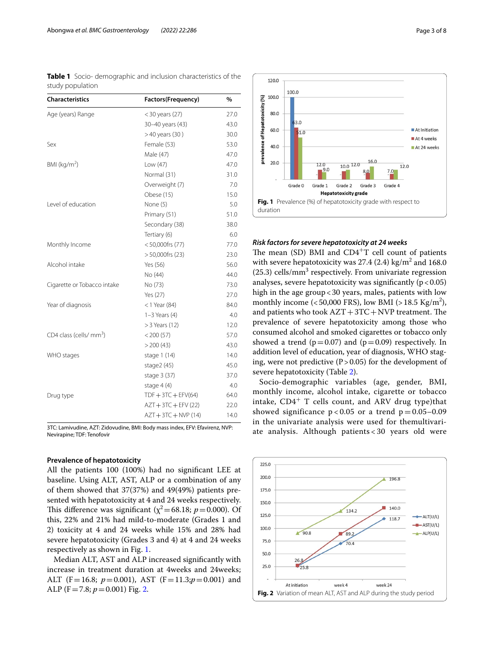<span id="page-2-0"></span>**Table 1** Socio- demographic and inclusion characteristics of the study population

| <b>Characteristics</b>              | Factors(Frequency)    | %    |
|-------------------------------------|-----------------------|------|
| Age (years) Range                   | $<$ 30 years (27)     | 27.0 |
|                                     | 30-40 years (43)      | 43.0 |
|                                     | >40 years (30)        | 30.0 |
| Sex                                 | Female (53)           | 53.0 |
|                                     | Male (47)             | 47.0 |
| BMI ( $kg/m2$ )                     | Low (47)              | 47.0 |
|                                     | Normal (31)           | 31.0 |
|                                     | Overweight (7)        | 7.0  |
|                                     | Obese (15)            | 15.0 |
| Level of education                  | None (5)              | 5.0  |
|                                     | Primary (51)          | 51.0 |
|                                     | Secondary (38)        | 38.0 |
|                                     | Tertiary (6)          | 6.0  |
| Monthly Income                      | $< 50,000$ frs $(77)$ | 77.0 |
|                                     | $> 50,000$ frs $(23)$ | 23.0 |
| Alcohol intake                      | Yes (56)              | 56.0 |
|                                     | No (44)               | 44.0 |
| Cigarette or Tobacco intake         | No (73)               | 73.0 |
|                                     | Yes (27)              | 27.0 |
| Year of diagnosis                   | $<$ 1 Year (84)       | 84.0 |
|                                     | $1-3$ Years $(4)$     | 4.0  |
|                                     | > 3 Years (12)        | 12.0 |
| CD4 class (cells/ mm <sup>3</sup> ) | $<$ 200 $(57)$        | 57.0 |
|                                     | $>$ 200 (43)          | 43.0 |
| WHO stages                          | stage 1 (14)          | 14.0 |
|                                     | stage $2(45)$         | 45.0 |
|                                     | stage 3 (37)          | 37.0 |
|                                     | stage $4(4)$          | 4.0  |
| Drug type                           | $TDF + 3TC + EFV(64)$ | 64.0 |
|                                     | $AZT + 3TC + EFV(22)$ | 22.0 |
|                                     | $AZT + 3TC + NVP(14)$ | 14.0 |

3TC: Lamivudine, AZT: Zidovudine, BMI: Body mass index, EFV: Efavirenz, NVP: Nevirapine; TDF: Tenofovir

## **Prevalence of hepatotoxicity**

All the patients 100 (100%) had no signifcant LEE at baseline. Using ALT, AST, ALP or a combination of any of them showed that 37(37%) and 49(49%) patients presented with hepatotoxicity at 4 and 24 weeks respectively. This difference was significant ( $\chi^2$ =68.18; *p*=0.000). Of this, 22% and 21% had mild-to-moderate (Grades 1 and 2) toxicity at 4 and 24 weeks while 15% and 28% had severe hepatotoxicity (Grades 3 and 4) at 4 and 24 weeks respectively as shown in Fig. [1.](#page-2-1)

Median ALT, AST and ALP increased signifcantly with increase in treatment duration at 4weeks and 24weeks; ALT (F=16.8;  $p=0.001$ ), AST (F=11.3; $p=0.001$ ) and ALP (F = 7.8;  $p = 0.001$ ) Fig. [2.](#page-2-2)



#### <span id="page-2-1"></span>*Risk factors for severe hepatotoxicity at 24 weeks*

The mean (SD) BMI and  $CD4+T$  cell count of patients with severe hepatotoxicity was  $27.4$  (2.4) kg/m<sup>2</sup> and 168.0  $(25.3)$  cells/mm<sup>3</sup> respectively. From univariate regression analyses, severe hepatotoxicity was significantly  $(p < 0.05)$ high in the age group<30 years, males, patients with low monthly income ( $<$  50,000 FRS), low BMI ( $>$  18.5 Kg/m<sup>2</sup>), and patients who took  $AZT+3TC+NVP$  treatment. The prevalence of severe hepatotoxicity among those who consumed alcohol and smoked cigarettes or tobacco only showed a trend ( $p=0.07$ ) and ( $p=0.09$ ) respectively. In addition level of education, year of diagnosis, WHO staging, were not predictive  $(P>0.05)$  for the development of severe hepatotoxicity (Table [2](#page-3-0)).

Socio-demographic variables (age, gender, BMI, monthly income, alcohol intake, cigarette or tobacco intake,  $CD4^+$  T cells count, and ARV drug type)that showed significance  $p < 0.05$  or a trend  $p = 0.05 - 0.09$ in the univariate analysis were used for themultivariate analysis. Although patients < 30 years old were

<span id="page-2-2"></span>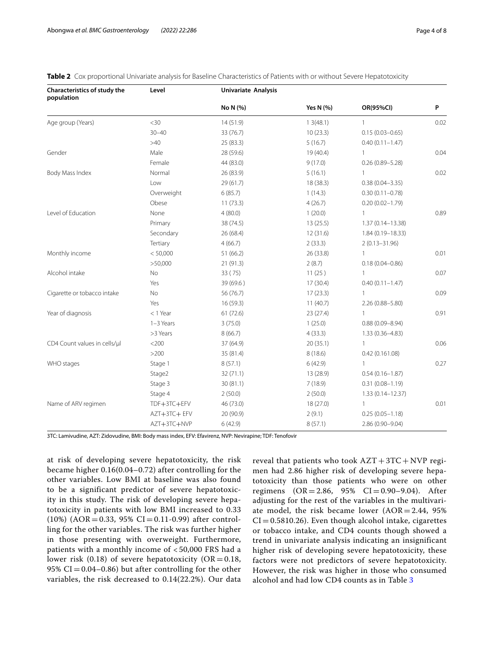| Characteristics of study the<br>population | Level       | <b>Univariate Analysis</b> |           |                      |      |
|--------------------------------------------|-------------|----------------------------|-----------|----------------------|------|
|                                            |             | No N (%)                   | Yes N (%) | OR(95%CI)            | P    |
| Age group (Years)                          | <30         | 14(51.9)                   | 13(48.1)  | $\mathbf{1}$         | 0.02 |
|                                            | $30 - 40$   | 33 (76.7)                  | 10(23.3)  | $0.15(0.03 - 0.65)$  |      |
|                                            | >40         | 25 (83.3)                  | 5(16.7)   | $0.40(0.11 - 1.47)$  |      |
| Gender                                     | Male        | 28 (59.6)                  | 19 (40.4) | $\mathbf{1}$         | 0.04 |
|                                            | Female      | 44 (83.0)                  | 9(17.0)   | $0.26(0.89 - 5.28)$  |      |
| Body Mass Index                            | Normal      | 26 (83.9)                  | 5(16.1)   | $\mathbf{1}$         | 0.02 |
|                                            | Low         | 29(61.7)                   | 18 (38.3) | $0.38(0.04 - 3.35)$  |      |
|                                            | Overweight  | 6(85.7)                    | 1(14.3)   | $0.30(0.11 - 0.78)$  |      |
|                                            | Obese       | 11(73.3)                   | 4(26.7)   | $0.20(0.02 - 1.79)$  |      |
| Level of Education                         | None        | 4(80.0)                    | 1(20.0)   | $\mathbf{1}$         | 0.89 |
|                                            | Primary     | 38 (74.5)                  | 13(25.5)  | $1.37(0.14 - 13.38)$ |      |
|                                            | Secondary   | 26 (68.4)                  | 12(31.6)  | $1.84(0.19 - 18.33)$ |      |
|                                            | Tertiary    | 4(66.7)                    | 2(33.3)   | $2(0.13 - 31.96)$    |      |
| Monthly income                             | < 50,000    | 51 (66.2)                  | 26 (33.8) | $\mathbf{1}$         | 0.01 |
|                                            | >50,000     | 21(91.3)                   | 2(8.7)    | $0.18(0.04 - 0.86)$  |      |
| Alcohol intake                             | No          | 33(75)                     | 11(25)    | $\mathbf{1}$         | 0.07 |
|                                            | Yes         | 39 (69.6)                  | 17(30.4)  | $0.40(0.11 - 1.47)$  |      |
| Cigarette or tobacco intake                | No          | 56 (76.7)                  | 17(23.3)  | $\mathbf{1}$         | 0.09 |
|                                            | Yes         | 16 (59.3)                  | 11(40.7)  | $2.26(0.88 - 5.80)$  |      |
| Year of diagnosis                          | $<$ 1 Year  | 61(72.6)                   | 23(27.4)  | $\mathbf{1}$         | 0.91 |
|                                            | 1-3 Years   | 3(75.0)                    | 1(25.0)   | $0.88(0.09 - 8.94)$  |      |
|                                            | >3 Years    | 8(66.7)                    | 4(33.3)   | $1.33(0.36 - 4.83)$  |      |
| CD4 Count values in cells/µl               | $<$ 200     | 37 (64.9)                  | 20(35.1)  | $\mathbf{1}$         | 0.06 |
|                                            | >200        | 35 (81.4)                  | 8(18.6)   | 0.42(0.161.08)       |      |
| WHO stages                                 | Stage 1     | 8(57.1)                    | 6(42.9)   | $\mathbf{1}$         | 0.27 |
|                                            | Stage2      | 32(71.1)                   | 13 (28.9) | $0.54(0.16 - 1.87)$  |      |
|                                            | Stage 3     | 30(81.1)                   | 7(18.9)   | $0.31(0.08 - 1.19)$  |      |
|                                            | Stage 4     | 2(50.0)                    | 2(50.0)   | $1.33(0.14 - 12.37)$ |      |
| Name of ARV regimen                        | TDF+3TC+EFV | 46 (73.0)                  | 18 (27.0) | $\mathbf{1}$         | 0.01 |
|                                            | AZT+3TC+EFV | 20 (90.9)                  | 2(9.1)    | $0.25(0.05 - 1.18)$  |      |
|                                            | AZT+3TC+NVP | 6(42.9)                    | 8(57.1)   | 2.86 (0.90-9.04)     |      |

<span id="page-3-0"></span>**Table 2** Cox proportional Univariate analysis for Baseline Characteristics of Patients with or without Severe Hepatotoxicity

3TC: Lamivudine, AZT: Zidovudine, BMI: Body mass index, EFV: Efavirenz, NVP: Nevirapine; TDF: Tenofovir

at risk of developing severe hepatotoxicity, the risk became higher 0.16(0.04–0.72) after controlling for the other variables. Low BMI at baseline was also found to be a significant predictor of severe hepatotoxicity in this study. The risk of developing severe hepatotoxicity in patients with low BMI increased to 0.33  $(10%) (AOR = 0.33, 95% CI = 0.11-0.99)$  after controlling for the other variables. The risk was further higher in those presenting with overweight. Furthermore, patients with a monthly income of < 50,000 FRS had a lower risk (0.18) of severe hepatotoxicity ( $OR = 0.18$ , 95%  $CI = 0.04 - 0.86$ ) but after controlling for the other variables, the risk decreased to 0.14(22.2%). Our data

reveal that patients who took  $AZT + 3TC + NVP$  regimen had 2.86 higher risk of developing severe hepatotoxicity than those patients who were on other regimens  $(OR = 2.86, 95\% \text{ CI} = 0.90-9.04)$ . After adjusting for the rest of the variables in the multivariate model, the risk became lower  $(AOR = 2.44, 95\%)$  $CI = 0.5810.26$ ). Even though alcohol intake, cigarettes or tobacco intake, and CD4 counts though showed a trend in univariate analysis indicating an insignificant higher risk of developing severe hepatotoxicity, these factors were not predictors of severe hepatotoxicity. However, the risk was higher in those who consumed alcohol and had low CD4 counts as in Table [3](#page-4-0)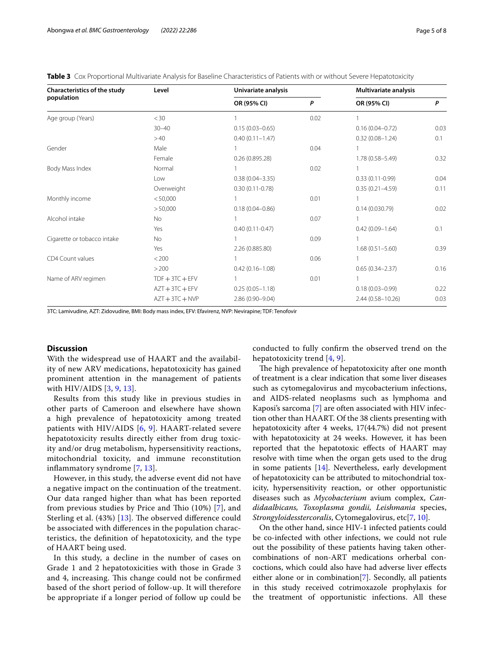<span id="page-4-0"></span>**Table 3** Cox Proportional Multivariate Analysis for Baseline Characteristics of Patients with or without Severe Hepatotoxicity

| <b>Characteristics of the study</b><br>population | Level             | Univariate analysis |      | Multivariate analysis |      |
|---------------------------------------------------|-------------------|---------------------|------|-----------------------|------|
|                                                   |                   | OR (95% CI)         | P    | OR (95% CI)           | P    |
| Age group (Years)                                 | $<$ 30            |                     | 0.02 |                       |      |
|                                                   | $30 - 40$         | $0.15(0.03 - 0.65)$ |      | $0.16(0.04 - 0.72)$   | 0.03 |
|                                                   | >40               | $0.40(0.11 - 1.47)$ |      | $0.32(0.08 - 1.24)$   | 0.1  |
| Gender                                            | Male              |                     | 0.04 |                       |      |
|                                                   | Female            | 0.26(0.895.28)      |      | $1.78(0.58 - 5.49)$   | 0.32 |
| Body Mass Index                                   | Normal            |                     | 0.02 | 1                     |      |
|                                                   | Low               | $0.38(0.04 - 3.35)$ |      | $0.33(0.11-0.99)$     | 0.04 |
|                                                   | Overweight        | $0.30(0.11 - 0.78)$ |      | $0.35(0.21 - 4.59)$   | 0.11 |
| Monthly income                                    | < 50,000          |                     | 0.01 | 1                     |      |
|                                                   | > 50,000          | $0.18(0.04 - 0.86)$ |      | 0.14(0.030.79)        | 0.02 |
| Alcohol intake                                    | <b>No</b>         |                     | 0.07 |                       |      |
|                                                   | Yes               | $0.40(0.11 - 0.47)$ |      | $0.42(0.09 - 1.64)$   | 0.1  |
| Cigarette or tobacco intake                       | <b>No</b>         |                     | 0.09 |                       |      |
|                                                   | Yes               | 2.26 (0.885.80)     |      | $1.68(0.51 - 5.60)$   | 0.39 |
| CD4 Count values                                  | < 200             |                     | 0.06 |                       |      |
|                                                   | >200              | $0.42(0.16 - 1.08)$ |      | $0.65(0.34 - 2.37)$   | 0.16 |
| Name of ARV regimen                               | $TDF + 3TC + EFV$ |                     | 0.01 |                       |      |
|                                                   | $AZT + 3TC + EFV$ | $0.25(0.05 - 1.18)$ |      | $0.18(0.03 - 0.99)$   | 0.22 |
|                                                   | $AZT + 3TC + NVP$ | 2.86 (0.90-9.04)    |      | 2.44 (0.58-10.26)     | 0.03 |

3TC: Lamivudine, AZT: Zidovudine, BMI: Body mass index, EFV: Efavirenz, NVP: Nevirapine; TDF: Tenofovir

## **Discussion**

With the widespread use of HAART and the availability of new ARV medications, hepatotoxicity has gained prominent attention in the management of patients with HIV/AIDS [[3,](#page-6-1) [9,](#page-7-4) [13\]](#page-7-6).

Results from this study like in previous studies in other parts of Cameroon and elsewhere have shown a high prevalence of hepatotoxicity among treated patients with HIV/AIDS [\[6](#page-7-7), [9](#page-7-4)]. HAART-related severe hepatotoxicity results directly either from drug toxicity and/or drug metabolism, hypersensitivity reactions, mitochondrial toxicity, and immune reconstitution infammatory syndrome [[7](#page-7-0), [13\]](#page-7-6).

However, in this study, the adverse event did not have a negative impact on the continuation of the treatment. Our data ranged higher than what has been reported from previous studies by Price and Thio  $(10\%)$  [\[7](#page-7-0)], and Sterling et al.  $(43%)$  [[13](#page-7-6)]. The observed difference could be associated with diferences in the population characteristics, the defnition of hepatotoxicity, and the type of HAART being used.

In this study, a decline in the number of cases on Grade 1 and 2 hepatotoxicities with those in Grade 3 and 4, increasing. This change could not be confirmed based of the short period of follow-up. It will therefore be appropriate if a longer period of follow up could be conducted to fully confrm the observed trend on the hepatotoxicity trend [[4](#page-7-8), [9](#page-7-4)].

The high prevalence of hepatotoxicity after one month of treatment is a clear indication that some liver diseases such as cytomegalovirus and mycobacterium infections, and AIDS-related neoplasms such as lymphoma and Kaposi's sarcoma [\[7](#page-7-0)] are often associated with HIV infection other than HAART. Of the 38 clients presenting with hepatotoxicity after 4 weeks, 17(44.7%) did not present with hepatotoxicity at 24 weeks. However, it has been reported that the hepatotoxic efects of HAART may resolve with time when the organ gets used to the drug in some patients [[14\]](#page-7-9). Nevertheless, early development of hepatotoxicity can be attributed to mitochondrial toxicity, hypersensitivity reaction, or other opportunistic diseases such as *Mycobacterium* avium complex, *Candidaalbicans, Toxoplasma gondii, Leishmania* species, *Strongyloidesstercoralis*, Cytomegalovirus, etc[[7,](#page-7-0) [10](#page-7-2)].

On the other hand, since HIV-1 infected patients could be co-infected with other infections, we could not rule out the possibility of these patients having taken othercombinations of non-ART medications orherbal concoctions, which could also have had adverse liver efects either alone or in combination[[7\]](#page-7-0). Secondly, all patients in this study received cotrimoxazole prophylaxis for the treatment of opportunistic infections. All these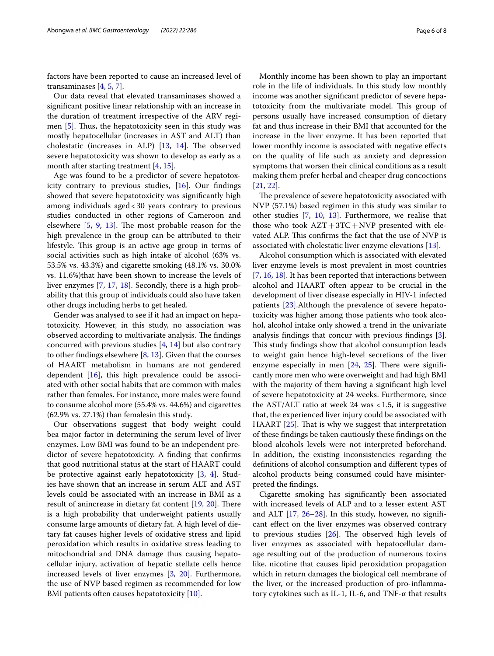factors have been reported to cause an increased level of transaminases [\[4](#page-7-8), [5,](#page-7-1) [7](#page-7-0)].

Our data reveal that elevated transaminases showed a signifcant positive linear relationship with an increase in the duration of treatment irrespective of the ARV regimen  $[5]$  $[5]$ . Thus, the hepatotoxicity seen in this study was mostly hepatocellular (increases in AST and ALT) than cholestatic (increases in ALP)  $[13, 14]$  $[13, 14]$  $[13, 14]$  $[13, 14]$  $[13, 14]$ . The observed severe hepatotoxicity was shown to develop as early as a month after starting treatment [\[4](#page-7-8), [15\]](#page-7-10).

Age was found to be a predictor of severe hepatotoxicity contrary to previous studies, [[16](#page-7-11)]. Our fndings showed that severe hepatotoxicity was signifcantly high among individuals aged<30 years contrary to previous studies conducted in other regions of Cameroon and elsewhere  $[5, 9, 13]$  $[5, 9, 13]$  $[5, 9, 13]$  $[5, 9, 13]$  $[5, 9, 13]$ . The most probable reason for the high prevalence in the group can be attributed to their lifestyle. This group is an active age group in terms of social activities such as high intake of alcohol (63% vs. 53.5% vs. 43.3%) and cigarette smoking (48.1% vs. 30.0% vs. 11.6%)that have been shown to increase the levels of liver enzymes [[7](#page-7-0), [17,](#page-7-12) [18\]](#page-7-13). Secondly, there is a high probability that this group of individuals could also have taken other drugs including herbs to get healed.

Gender was analysed to see if it had an impact on hepatotoxicity. However, in this study, no association was observed according to multivariate analysis. The findings concurred with previous studies  $[4, 14]$  $[4, 14]$  $[4, 14]$  $[4, 14]$  but also contrary to other findings elsewhere  $[8, 13]$  $[8, 13]$  $[8, 13]$ . Given that the courses of HAART metabolism in humans are not gendered dependent  $[16]$  $[16]$ , this high prevalence could be associated with other social habits that are common with males rather than females. For instance, more males were found to consume alcohol more (55.4% vs. 44.6%) and cigarettes (62.9% vs. 27.1%) than femalesin this study.

Our observations suggest that body weight could bea major factor in determining the serum level of liver enzymes. Low BMI was found to be an independent predictor of severe hepatotoxicity. A fnding that confrms that good nutritional status at the start of HAART could be protective against early hepatotoxicity [\[3](#page-6-1), [4](#page-7-8)]. Studies have shown that an increase in serum ALT and AST levels could be associated with an increase in BMI as a result of anincrease in dietary fat content  $[19, 20]$  $[19, 20]$  $[19, 20]$  $[19, 20]$ . There is a high probability that underweight patients usually consume large amounts of dietary fat. A high level of dietary fat causes higher levels of oxidative stress and lipid peroxidation which results in oxidative stress leading to mitochondrial and DNA damage thus causing hepatocellular injury, activation of hepatic stellate cells hence increased levels of liver enzymes [[3,](#page-6-1) [20](#page-7-16)]. Furthermore, the use of NVP based regimen as recommended for low BMI patients often causes hepatotoxicity [\[10](#page-7-2)].

Monthly income has been shown to play an important role in the life of individuals. In this study low monthly income was another signifcant predictor of severe hepatotoxicity from the multivariate model. This group of persons usually have increased consumption of dietary fat and thus increase in their BMI that accounted for the increase in the liver enzyme. It has been reported that lower monthly income is associated with negative efects on the quality of life such as anxiety and depression symptoms that worsen their clinical conditions as a result making them prefer herbal and cheaper drug concoctions [[21,](#page-7-17) [22](#page-7-18)].

The prevalence of severe hepatotoxicity associated with NVP (57.1%) based regimen in this study was similar to other studies [[7,](#page-7-0) [10](#page-7-2), [13](#page-7-6)]. Furthermore, we realise that those who took  $AZT+3TC+NVP$  presented with elevated ALP. This confirms the fact that the use of NVP is associated with cholestatic liver enzyme elevations [\[13](#page-7-6)].

Alcohol consumption which is associated with elevated liver enzyme levels is most prevalent in most countries [[7,](#page-7-0) [16](#page-7-11), [18\]](#page-7-13). It has been reported that interactions between alcohol and HAART often appear to be crucial in the development of liver disease especially in HIV-1 infected patients [\[23\]](#page-7-19).Although the prevalence of severe hepatotoxicity was higher among those patients who took alcohol, alcohol intake only showed a trend in the univariate analysis fndings that concur with previous fndings [\[3](#page-6-1)]. This study findings show that alcohol consumption leads to weight gain hence high-level secretions of the liver enzyme especially in men  $[24, 25]$  $[24, 25]$  $[24, 25]$  $[24, 25]$ . There were significantly more men who were overweight and had high BMI with the majority of them having a signifcant high level of severe hepatotoxicity at 24 weeks. Furthermore, since the AST/ALT ratio at week 24 was  $<$  1.5, it is suggestive that, the experienced liver injury could be associated with HAART [\[25](#page-7-21)]. That is why we suggest that interpretation of these fndings be taken cautiously these fndings on the blood alcohols levels were not interpreted beforehand. In addition, the existing inconsistencies regarding the defnitions of alcohol consumption and diferent types of alcohol products being consumed could have misinterpreted the fndings.

Cigarette smoking has signifcantly been associated with increased levels of ALP and to a lesser extent AST and ALT [\[17](#page-7-12), [26–](#page-7-22)[28](#page-7-23)]. In this study, however, no signifcant efect on the liver enzymes was observed contrary to previous studies  $[26]$  $[26]$ . The observed high levels of liver enzymes as associated with hepatocellular damage resulting out of the production of numerous toxins like. nicotine that causes lipid peroxidation propagation which in return damages the biological cell membrane of the liver, or the increased production of pro-infammatory cytokines such as IL-1, IL-6, and TNF-α that results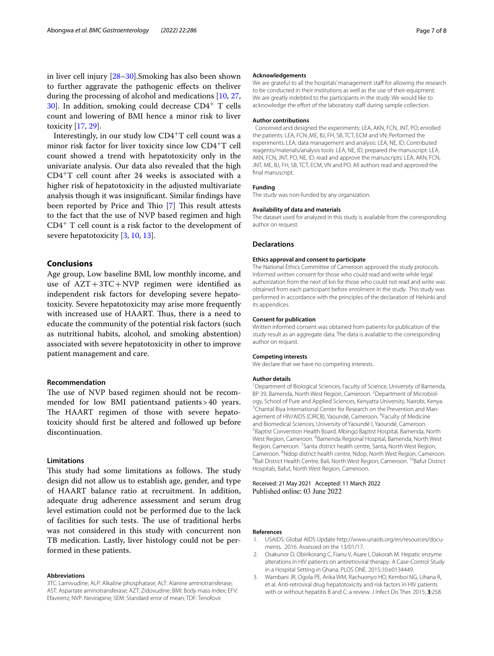in liver cell injury [[28](#page-7-23)[–30](#page-7-24)].Smoking has also been shown to further aggravate the pathogenic efects on theliver during the processing of alcohol and medications [[10,](#page-7-2) [27](#page-7-25),  $30$ . In addition, smoking could decrease CD4<sup>+</sup> T cells count and lowering of BMI hence a minor risk to liver toxicity [[17](#page-7-12), [29\]](#page-7-26).

Interestingly, in our study low  $CD4+T$  cell count was a minor risk factor for liver toxicity since low CD4<sup>+</sup>T cell count showed a trend with hepatotoxicity only in the univariate analysis. Our data also revealed that the high CD4<sup>+</sup>T cell count after 24 weeks is associated with a higher risk of hepatotoxicity in the adjusted multivariate analysis though it was insignifcant. Similar fndings have been reported by Price and Thio [[7\]](#page-7-0) This result attests to the fact that the use of NVP based regimen and high CD4<sup>+</sup> T cell count is a risk factor to the development of severe hepatotoxicity [[3](#page-6-1), [10,](#page-7-2) [13](#page-7-6)].

# **Conclusions**

Age group, Low baseline BMI, low monthly income, and use of  $AZT+3TC+NVP$  regimen were identified as independent risk factors for developing severe hepatotoxicity. Severe hepatotoxicity may arise more frequently with increased use of HAART. Thus, there is a need to educate the community of the potential risk factors (such as nutritional habits, alcohol, and smoking abstention) associated with severe hepatotoxicity in other to improve patient management and care.

#### **Recommendation**

The use of NVP based regimen should not be recommended for low BMI patientsand patients>40 years. The HAART regimen of those with severe hepatotoxicity should frst be altered and followed up before discontinuation.

#### **Limitations**

This study had some limitations as follows. The study design did not allow us to establish age, gender, and type of HAART balance ratio at recruitment. In addition, adequate drug adherence assessment and serum drug level estimation could not be performed due to the lack of facilities for such tests. The use of traditional herbs was not considered in this study with concurrent non TB medication. Lastly, liver histology could not be performed in these patients.

#### **Abbreviations**

3TC: Lamivudine; ALP: Alkaline phosphatase; ALT: Alanine aminotransferase; AST: Aspartate aminotransferase; AZT: Zidovudine; BMI: Body mass index; EFV: Efavirenz; NVP: Nevirapine; SEM: Standard error of mean; TDF: Tenofovir.

#### **Acknowledgements**

We are grateful to all the hospitals' management staff for allowing the research to be conducted in their institutions as well as the use of their equipment. We are greatly indebted to the participants in the study. We would like to acknowledge the effort of the laboratory staff during sample collection.

#### **Author contributions**

 Conceived and designed the experiments: LEA, AKN, FCN, JNT, PO; enrolled the patients: LEA, FCN ,ME, BJ, FH, SB, TCT, ECM and VN; Performed the experiments: LEA; data management and analysis: LEA, NE, ID; Contributed reagents/materials/analysis tools: LEA, NE, ID; prepared the manuscript: LEA, AKN, FCN, JNT, PO, NE, ID; read and approve the manuscripts: LEA, AKN, FCN, JNT, ME, BJ, FH, SB, TCT, ECM, VN and PO. All authors read and approved the final manuscript.

#### **Funding**

The study was non-funded by any organization.

#### **Availability of data and materials**

The dataset used for analyzed in this study is available from the corresponding author on request.

#### **Declarations**

## **Ethics approval and consent to participate**

The National Ethics Committee of Cameroon approved the study protocols. Informed written consent for those who could read and write while legal authorization from the next of kin for those who could not read and write was obtained from each participant before enrolment in the study. This study was performed in accordance with the principles of the declaration of Helsinki and its appendices.

#### **Consent for publication**

Written informed consent was obtained from patients for publication of the study result as an aggregate data. The data is available to the corresponding author on request.

#### **Competing interests**

We declare that we have no competing interests.

#### **Author details**

<sup>1</sup> Department of Biological Sciences, Faculty of Science, University of Bamenda, BP 39, Bamenda, North West Region, Cameroon. <sup>2</sup> Department of Microbiology, School of Pure and Applied Sciences, Kenyatta University, Nairobi, Kenya. 3 <sup>3</sup> Chantal Biya International Center for Research on the Prevention and Management of HIV/AIDS (CIRCB), Yaoundé, Cameroon. <sup>4</sup> Faculty of Medicine and Biomedical Sciences, University of Yaoundé I, Yaoundé, Cameroon. 5 <sup>5</sup> Baptist Convention Health Board, Mbingo Baptist Hospital, Bamenda, North West Region, Cameroon. <sup>6</sup> Bamenda Regional Hospital, Bamenda, North West Region, Cameroon.<sup>7</sup> Santa district health centre, Santa, North West Region, Cameroon. <sup>8</sup>Ndop district health centre, Ndop, North West Region, Cameroon.<br><sup>9</sup>Bali District Hoalth Contre, Bali, North West Pegion, Cameroon. <sup>10</sup>Bafut District. <sup>9</sup>Bali District Health Centre, Bali, North West Region, Cameroon. <sup>10</sup>Bafut District Hospitals, Bafut, North West Region, Cameroon.

Received: 21 May 2021 Accepted: 11 March 2022 Published online: 03 June 2022

#### **References**

- <span id="page-6-0"></span>USAIDS: Global AIDS Update http://www.unaids.org/en/resources/documents. 2016. Assessed on the 13/01/17.
- <span id="page-6-2"></span>2. Osakunor D, Obirikorang C, Fianu V, Asare I, Dakorah M. Hepatic enzyme alterations in HIV patients on antiretroviral therapy: A Case-Control Study in a Hospital Setting in Ghana. PLOS ONE. 2015;10:e0134449.
- <span id="page-6-1"></span>3. Wambani JR, Ogola PE, Arika WM, Rachuonyo HO, Kemboi NG, Lihana R, et al. Anti-retroviral drug hepatotoxicity and risk factors in HIV patients with or without hepatitis B and C: a review. J Infect Dis Ther. 2015; **3**:258.